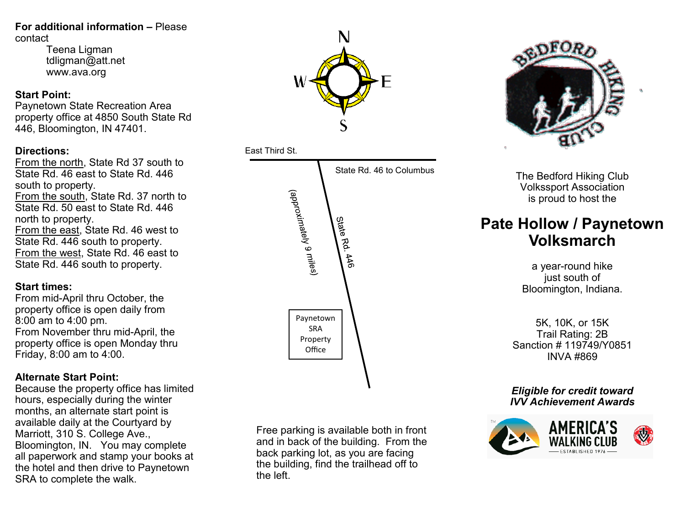#### **For additional information –** Please contact

Teena Ligman tdligman@att.net www.ava.org

#### **Start Point:**

Paynetown State Recreation Area property office at 4850 South State Rd 446, Bloomington, IN 47401.

### **Directions:**

From the north, State Rd 37 south to State Rd. 46 east to State Rd. 446 south to property. From the south, State Rd. 37 north to State Rd. 50 east to State Rd. 446 north to property. From the east, State Rd. 46 west to State Rd. 446 south to property. From the west, State Rd. 46 east to State Rd. 446 south to property.

#### **Start times:**

From mid-April thru October, the property office is open daily from 8:00 am to 4:00 pm. From November thru mid-April, the property office is open Monday thru Friday, 8:00 am to 4:00.

### **Alternate Start Point:**

Because the property office has limited hours, especially during the winter months, an alternate start point is available daily at the Courtyard by Marriott, 310 S. College Ave., Bloomington, IN. You may complete all paperwork and stamp your books at the hotel and then drive to Paynetown SRA to complete the walk.

Free parking is available both in front and in back of the building. From the back parking lot, as you are facing the building, find the trailhead off to the left.



# East Third St.





The Bedford Hiking Club Volkssport Association is proud to host the

## **Pate Hollow / Paynetown Volksmarch**

a year-round hike just south of Bloomington, Indiana.

5K, 10K, or 15K Trail Rating: 2B Sanction # 119749/Y0851 INVA #869

*Eligible for credit toward IVV Achievement Awards*